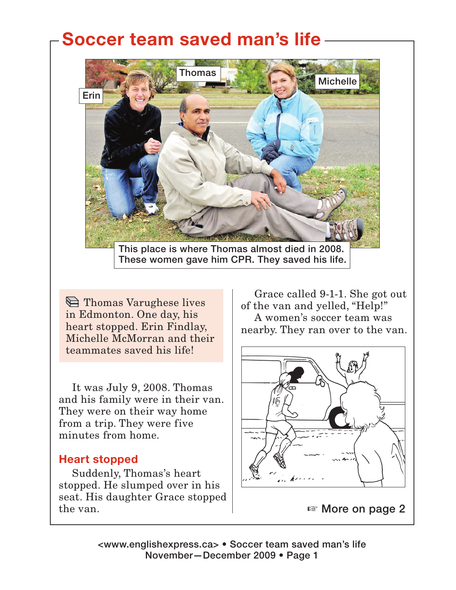# **Soccer team saved man's life**



These women gave him CPR. They saved his life.

**Thomas Varughese lives** in Edmonton. One day, his heart stopped. Erin Findlay, Michelle McMorran and their teammates saved his life!

It was July 9, 2008. Thomas and his family were in their van. They were on their way home from a trip. They were five minutes from home.

#### **Heart stopped**

Suddenly, Thomas's heart stopped. He slumped over in his seat. His daughter Grace stopped the van.

Grace called 9-1-1. She got out of the van and yelled, "Help!" A women's soccer team was nearby. They ran over to the van.



<www.englishexpress.ca> • Soccer team saved man's life November—December 2009 • Page 1